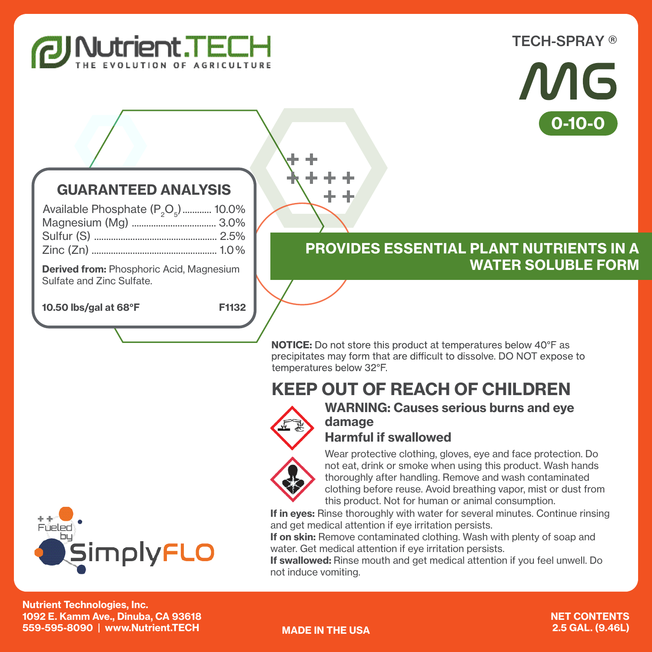

#### TECH-SPRAY ®



# GUARANTEED ANALYSIS

| Available Phosphate (P <sub>2</sub> O <sub>5</sub> )  10.0% |  |
|-------------------------------------------------------------|--|
|                                                             |  |
|                                                             |  |
|                                                             |  |

Sulfate and Zinc Sulfate.

10.50 lbs/gal at 68°F

F1132

## PROVIDES ESSENTIAL PLANT NUTRIENTS IN A Derived from: Phosphoric Acid, Magnesium Network Control of Control of Control of Control of Control of Control o

**NOTICE:** Do not store this product at temperatures below 40°F as precipitates may form that are difficult to dissolve. DO NOT expose to temperatures below 32°F.

# KEEP OUT OF REACH OF CHILDREN



### WARNING: Causes serious burns and eye damage

#### Harmful if swallowed



Wear protective clothing, gloves, eye and face protection. Do not eat, drink or smoke when using this product. Wash hands thoroughly after handling. Remove and wash contaminated clothing before reuse. Avoid breathing vapor, mist or dust from this product. Not for human or animal consumption.

If in eyes: Rinse thoroughly with water for several minutes. Continue rinsing and get medical attention if eye irritation persists.

If on skin: Remove contaminated clothing. Wash with plenty of soap and water. Get medical attention if eye irritation persists.

If swallowed: Rinse mouth and get medical attention if you feel unwell. Do not induce vomiting.



Nutrient Technologies, Inc. 1092 E. Kamm Ave., Dinuba, CA 93618 559-595-8090 | www.Nutrient.TECH MADE IN THE USA

NET CONTENTS 2.5 GAL. (9.46L)